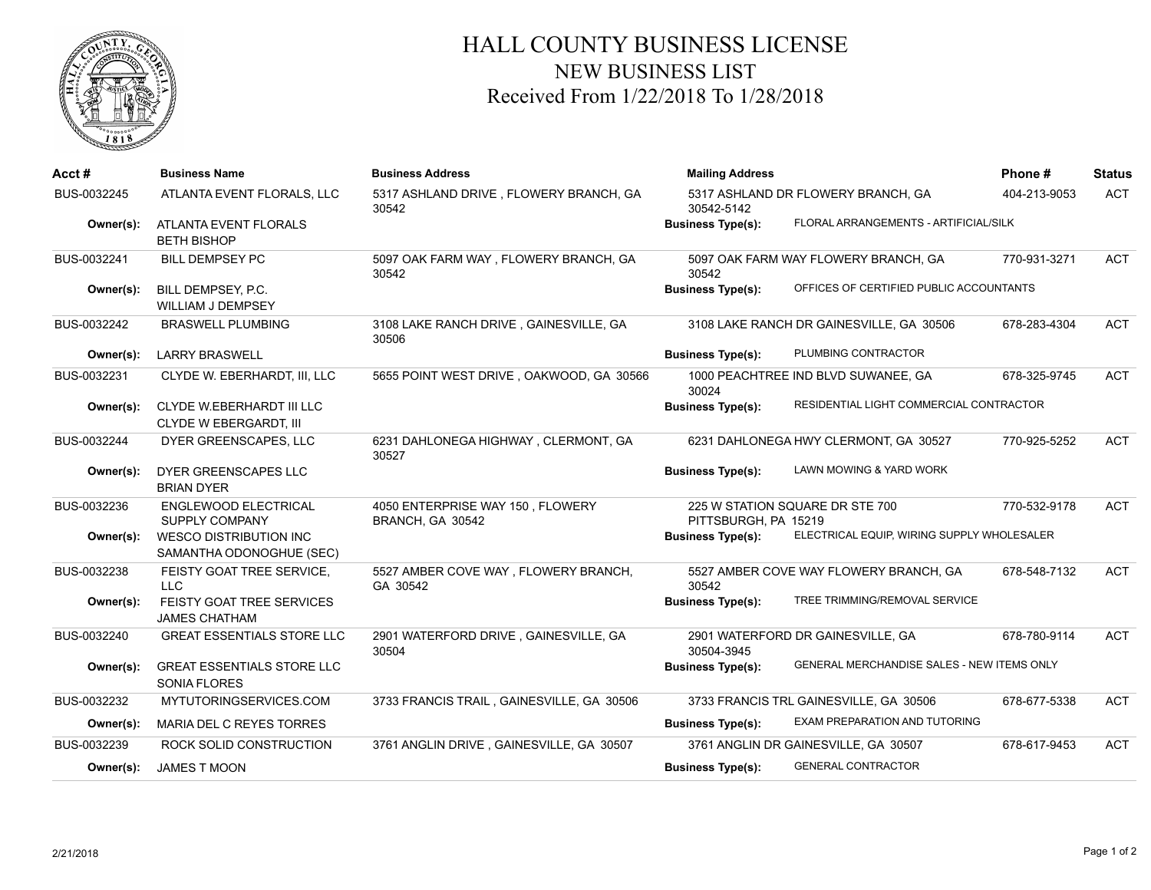

## HALL COUNTY BUSINESS LICENSE NEW BUSINESS LIST Received From 1/22/2018 To 1/28/2018

| Acct#       | <b>Business Name</b>                                       | <b>Business Address</b>                              | <b>Mailing Address</b>   |                                            | Phone#       | <b>Status</b> |
|-------------|------------------------------------------------------------|------------------------------------------------------|--------------------------|--------------------------------------------|--------------|---------------|
| BUS-0032245 | ATLANTA EVENT FLORALS, LLC                                 | 5317 ASHLAND DRIVE, FLOWERY BRANCH, GA<br>30542      | 30542-5142               | 5317 ASHLAND DR FLOWERY BRANCH, GA         | 404-213-9053 | <b>ACT</b>    |
| Owner(s):   | ATLANTA EVENT FLORALS<br><b>BETH BISHOP</b>                |                                                      | <b>Business Type(s):</b> | FLORAL ARRANGEMENTS - ARTIFICIAL/SILK      |              |               |
| BUS-0032241 | <b>BILL DEMPSEY PC</b>                                     | 5097 OAK FARM WAY, FLOWERY BRANCH, GA<br>30542       | 30542                    | 5097 OAK FARM WAY FLOWERY BRANCH, GA       | 770-931-3271 | <b>ACT</b>    |
| Owner(s):   | BILL DEMPSEY, P.C.<br><b>WILLIAM J DEMPSEY</b>             |                                                      | <b>Business Type(s):</b> | OFFICES OF CERTIFIED PUBLIC ACCOUNTANTS    |              |               |
| BUS-0032242 | <b>BRASWELL PLUMBING</b>                                   | 3108 LAKE RANCH DRIVE, GAINESVILLE, GA<br>30506      |                          | 3108 LAKE RANCH DR GAINESVILLE, GA 30506   | 678-283-4304 | <b>ACT</b>    |
| Owner(s):   | <b>LARRY BRASWELL</b>                                      |                                                      | <b>Business Type(s):</b> | PLUMBING CONTRACTOR                        |              |               |
| BUS-0032231 | CLYDE W. EBERHARDT, III, LLC                               | 5655 POINT WEST DRIVE, OAKWOOD, GA 30566             | 30024                    | 1000 PEACHTREE IND BLVD SUWANEE, GA        | 678-325-9745 | <b>ACT</b>    |
| Owner(s):   | <b>CLYDE W.EBERHARDT III LLC</b><br>CLYDE W EBERGARDT, III |                                                      | <b>Business Type(s):</b> | RESIDENTIAL LIGHT COMMERCIAL CONTRACTOR    |              |               |
| BUS-0032244 | DYER GREENSCAPES, LLC                                      | 6231 DAHLONEGA HIGHWAY, CLERMONT, GA<br>30527        |                          | 6231 DAHLONEGA HWY CLERMONT, GA 30527      | 770-925-5252 | <b>ACT</b>    |
| Owner(s):   | DYER GREENSCAPES LLC<br><b>BRIAN DYER</b>                  |                                                      | <b>Business Type(s):</b> | LAWN MOWING & YARD WORK                    |              |               |
| BUS-0032236 | <b>ENGLEWOOD ELECTRICAL</b><br>SUPPLY COMPANY              | 4050 ENTERPRISE WAY 150, FLOWERY<br>BRANCH, GA 30542 | PITTSBURGH, PA 15219     | 225 W STATION SQUARE DR STE 700            | 770-532-9178 | <b>ACT</b>    |
| Owner(s):   | <b>WESCO DISTRIBUTION INC</b><br>SAMANTHA ODONOGHUE (SEC)  |                                                      | <b>Business Type(s):</b> | ELECTRICAL EQUIP, WIRING SUPPLY WHOLESALER |              |               |
| BUS-0032238 | FEISTY GOAT TREE SERVICE,<br>LLC                           | 5527 AMBER COVE WAY, FLOWERY BRANCH,<br>GA 30542     | 30542                    | 5527 AMBER COVE WAY FLOWERY BRANCH, GA     | 678-548-7132 | <b>ACT</b>    |
| Owner(s):   | FEISTY GOAT TREE SERVICES<br><b>JAMES CHATHAM</b>          |                                                      | <b>Business Type(s):</b> | TREE TRIMMING/REMOVAL SERVICE              |              |               |
| BUS-0032240 | <b>GREAT ESSENTIALS STORE LLC</b>                          | 2901 WATERFORD DRIVE, GAINESVILLE, GA<br>30504       | 30504-3945               | 2901 WATERFORD DR GAINESVILLE, GA          | 678-780-9114 | <b>ACT</b>    |
| Owner(s):   | <b>GREAT ESSENTIALS STORE LLC</b><br><b>SONIA FLORES</b>   |                                                      | <b>Business Type(s):</b> | GENERAL MERCHANDISE SALES - NEW ITEMS ONLY |              |               |
| BUS-0032232 | MYTUTORINGSERVICES.COM                                     | 3733 FRANCIS TRAIL, GAINESVILLE, GA 30506            |                          | 3733 FRANCIS TRL GAINESVILLE, GA 30506     | 678-677-5338 | <b>ACT</b>    |
| Owner(s):   | MARIA DEL C REYES TORRES                                   |                                                      | <b>Business Type(s):</b> | EXAM PREPARATION AND TUTORING              |              |               |
| BUS-0032239 | ROCK SOLID CONSTRUCTION                                    | 3761 ANGLIN DRIVE, GAINESVILLE, GA 30507             |                          | 3761 ANGLIN DR GAINESVILLE, GA 30507       | 678-617-9453 | <b>ACT</b>    |
| Owner(s):   | <b>JAMES T MOON</b>                                        |                                                      | <b>Business Type(s):</b> | <b>GENERAL CONTRACTOR</b>                  |              |               |
|             |                                                            |                                                      |                          |                                            |              |               |